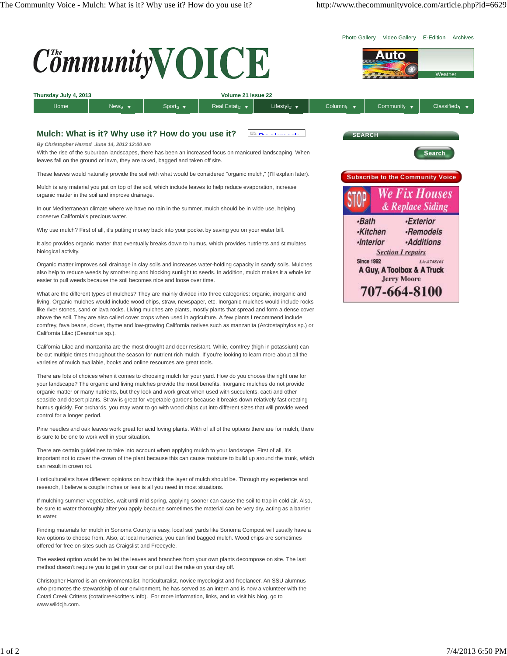

There are lots of choices when it comes to choosing mulch for your yard. How do you choose the right one for your landscape? The organic and living mulches provide the most benefits. Inorganic mulches do not provide organic matter or many nutrients, but they look and work great when used with succulents, cacti and other seaside and desert plants. Straw is great for vegetable gardens because it breaks down relatively fast creating humus quickly. For orchards, you may want to go with wood chips cut into different sizes that will provide weed control for a longer period.

Pine needles and oak leaves work great for acid loving plants. With of all of the options there are for mulch, there is sure to be one to work well in your situation.

There are certain guidelines to take into account when applying mulch to your landscape. First of all, it's important not to cover the crown of the plant because this can cause moisture to build up around the trunk, which can result in crown rot.

Horticulturalists have different opinions on how thick the layer of mulch should be. Through my experience and research, I believe a couple inches or less is all you need in most situations.

If mulching summer vegetables, wait until mid-spring, applying sooner can cause the soil to trap in cold air. Also, be sure to water thoroughly after you apply because sometimes the material can be very dry, acting as a barrier to water.

Finding materials for mulch in Sonoma County is easy, local soil yards like Sonoma Compost will usually have a few options to choose from. Also, at local nurseries, you can find bagged mulch. Wood chips are sometimes offered for free on sites such as Craigslist and Freecycle.

The easiest option would be to let the leaves and branches from your own plants decompose on site. The last method doesn't require you to get in your car or pull out the rake on your day off.

Christopher Harrod is an environmentalist, horticulturalist, novice mycologist and freelancer. An SSU alumnus who promotes the stewardship of our environment, he has served as an intern and is now a volunteer with the Cotati Creek Critters (cotaticreekcritters.info). For more information, links, and to visit his blog, go to www.wildcih.com.